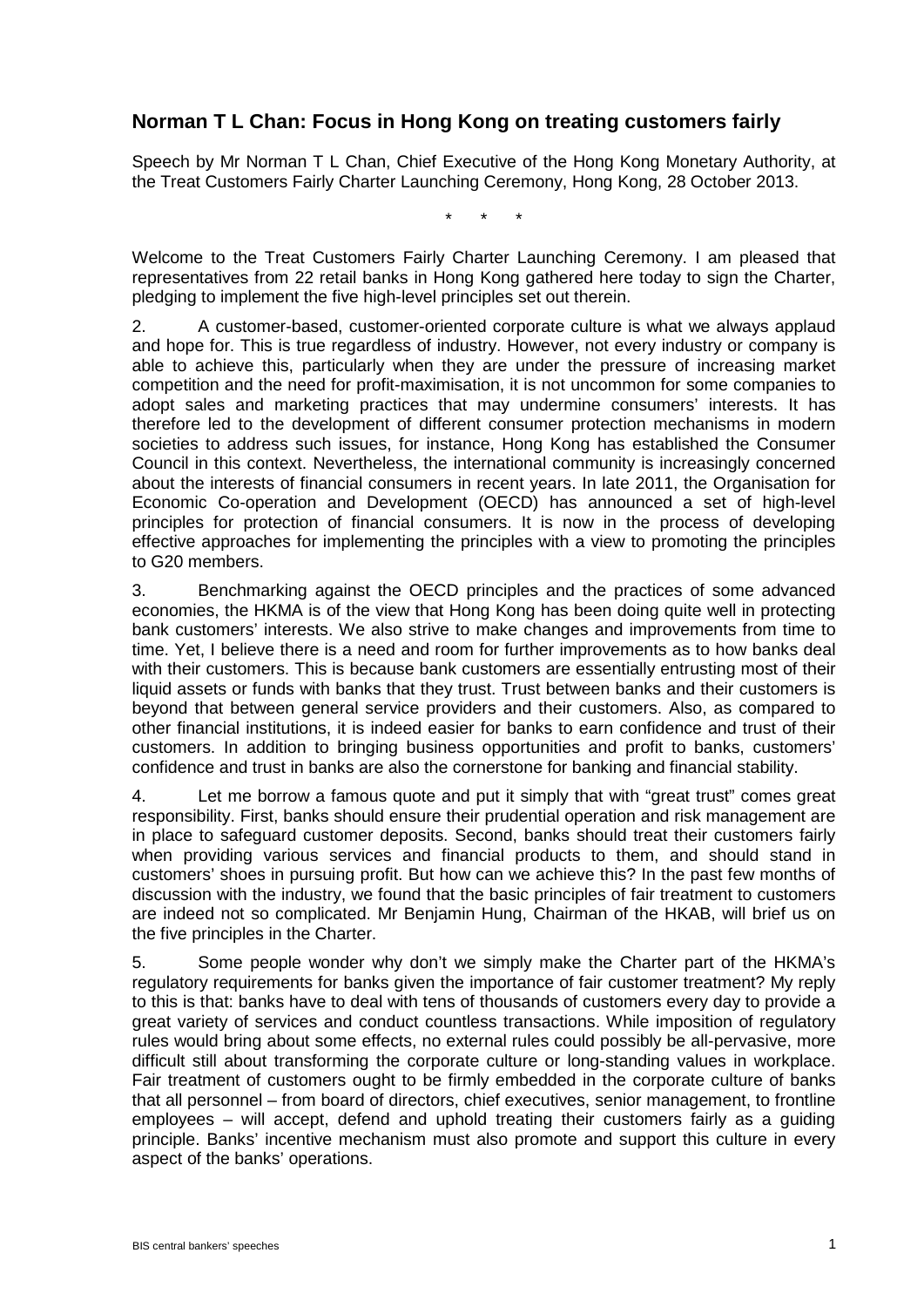## **Norman T L Chan: Focus in Hong Kong on treating customers fairly**

Speech by Mr Norman T L Chan, Chief Executive of the Hong Kong Monetary Authority, at the Treat Customers Fairly Charter Launching Ceremony, Hong Kong, 28 October 2013.

\* \* \*

Welcome to the Treat Customers Fairly Charter Launching Ceremony. I am pleased that representatives from 22 retail banks in Hong Kong gathered here today to sign the Charter, pledging to implement the five high-level principles set out therein.

2. A customer-based, customer-oriented corporate culture is what we always applaud and hope for. This is true regardless of industry. However, not every industry or company is able to achieve this, particularly when they are under the pressure of increasing market competition and the need for profit-maximisation, it is not uncommon for some companies to adopt sales and marketing practices that may undermine consumers' interests. It has therefore led to the development of different consumer protection mechanisms in modern societies to address such issues, for instance, Hong Kong has established the Consumer Council in this context. Nevertheless, the international community is increasingly concerned about the interests of financial consumers in recent years. In late 2011, the Organisation for Economic Co-operation and Development (OECD) has announced a set of high-level principles for protection of financial consumers. It is now in the process of developing effective approaches for implementing the principles with a view to promoting the principles to G20 members.

3. Benchmarking against the OECD principles and the practices of some advanced economies, the HKMA is of the view that Hong Kong has been doing quite well in protecting bank customers' interests. We also strive to make changes and improvements from time to time. Yet, I believe there is a need and room for further improvements as to how banks deal with their customers. This is because bank customers are essentially entrusting most of their liquid assets or funds with banks that they trust. Trust between banks and their customers is beyond that between general service providers and their customers. Also, as compared to other financial institutions, it is indeed easier for banks to earn confidence and trust of their customers. In addition to bringing business opportunities and profit to banks, customers' confidence and trust in banks are also the cornerstone for banking and financial stability.

4. Let me borrow a famous quote and put it simply that with "great trust" comes great responsibility. First, banks should ensure their prudential operation and risk management are in place to safeguard customer deposits. Second, banks should treat their customers fairly when providing various services and financial products to them, and should stand in customers' shoes in pursuing profit. But how can we achieve this? In the past few months of discussion with the industry, we found that the basic principles of fair treatment to customers are indeed not so complicated. Mr Benjamin Hung, Chairman of the HKAB, will brief us on the five principles in the Charter.

5. Some people wonder why don't we simply make the Charter part of the HKMA's regulatory requirements for banks given the importance of fair customer treatment? My reply to this is that: banks have to deal with tens of thousands of customers every day to provide a great variety of services and conduct countless transactions. While imposition of regulatory rules would bring about some effects, no external rules could possibly be all-pervasive, more difficult still about transforming the corporate culture or long-standing values in workplace. Fair treatment of customers ought to be firmly embedded in the corporate culture of banks that all personnel – from board of directors, chief executives, senior management, to frontline employees – will accept, defend and uphold treating their customers fairly as a guiding principle. Banks' incentive mechanism must also promote and support this culture in every aspect of the banks' operations.